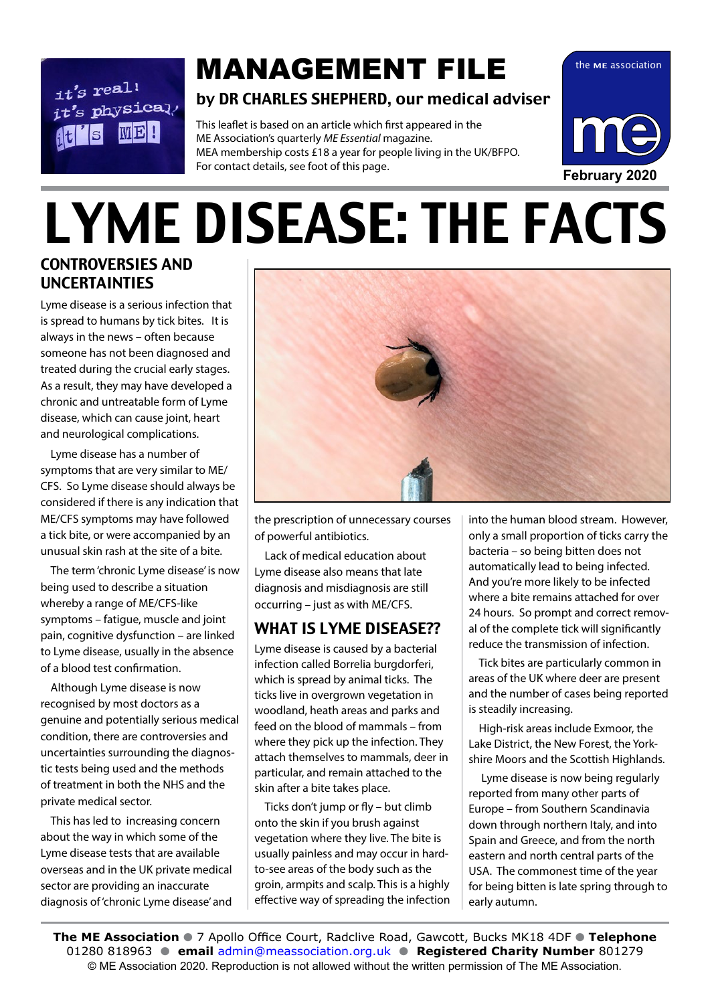$it's$  real!  $it's$  physical. **ME!** 

# **MANAGEMENT FILE** the ME association

#### by DR CHARLES SHEPHERD, our medical adviser

This leaflet is based on an article which first appeared in the ME Association's quarterly *ME Essential* magazine. MEA membership costs £18 a year for people living in the UK/BFPO. For contact details, see foot of this page.

# LYME DISEASE: THE FACTS

#### CONTROVERSIES AND UNCERTAINTIES

Lyme disease is a serious infection that is spread to humans by tick bites. It is always in the news – often because someone has not been diagnosed and treated during the crucial early stages. As a result, they may have developed a chronic and untreatable form of Lyme disease, which can cause joint, heart and neurological complications.

Lyme disease has a number of symptoms that are very similar to ME/ CFS. So Lyme disease should always be considered if there is any indication that ME/CFS symptoms may have followed a tick bite, or were accompanied by an unusual skin rash at the site of a bite.

The term 'chronic Lyme disease' is now being used to describe a situation whereby a range of ME/CFS-like symptoms – fatigue, muscle and joint pain, cognitive dysfunction – are linked to Lyme disease, usually in the absence of a blood test confirmation.

Although Lyme disease is now recognised by most doctors as a genuine and potentially serious medical condition, there are controversies and uncertainties surrounding the diagnostic tests being used and the methods of treatment in both the NHS and the private medical sector.

This has led to increasing concern about the way in which some of the Lyme disease tests that are available overseas and in the UK private medical sector are providing an inaccurate diagnosis of 'chronic Lyme disease' and



the prescription of unnecessary courses of powerful antibiotics.

Lack of medical education about Lyme disease also means that late diagnosis and misdiagnosis are still occurring – just as with ME/CFS.

#### WHAT IS LYME DISEASE??

Lyme disease is caused by a bacterial infection called Borrelia burgdorferi, which is spread by animal ticks. The ticks live in overgrown vegetation in woodland, heath areas and parks and feed on the blood of mammals – from where they pick up the infection. They attach themselves to mammals, deer in particular, and remain attached to the skin after a bite takes place.

Ticks don't jump or fly – but climb onto the skin if you brush against vegetation where they live. The bite is usually painless and may occur in hardto-see areas of the body such as the groin, armpits and scalp. This is a highly effective way of spreading the infection into the human blood stream. However, only a small proportion of ticks carry the bacteria – so being bitten does not automatically lead to being infected. And you're more likely to be infected where a bite remains attached for over 24 hours. So prompt and correct removal of the complete tick will significantly reduce the transmission of infection.

Tick bites are particularly common in areas of the UK where deer are present and the number of cases being reported is steadily increasing.

High-risk areas include Exmoor, the Lake District, the New Forest, the Yorkshire Moors and the Scottish Highlands.

 Lyme disease is now being regularly reported from many other parts of Europe – from Southern Scandinavia down through northern Italy, and into Spain and Greece, and from the north eastern and north central parts of the USA. The commonest time of the year for being bitten is late spring through to early autumn.

**The ME Association** ● 7 Apollo Office Court, Radclive Road, Gawcott, Bucks MK18 4DF ● Telephone 01280 818963 l **email** admin@meassociation.org.uk l **Registered Charity Number** 801279 © ME Association 2020. Reproduction is not allowed without the written permission of The ME Association.

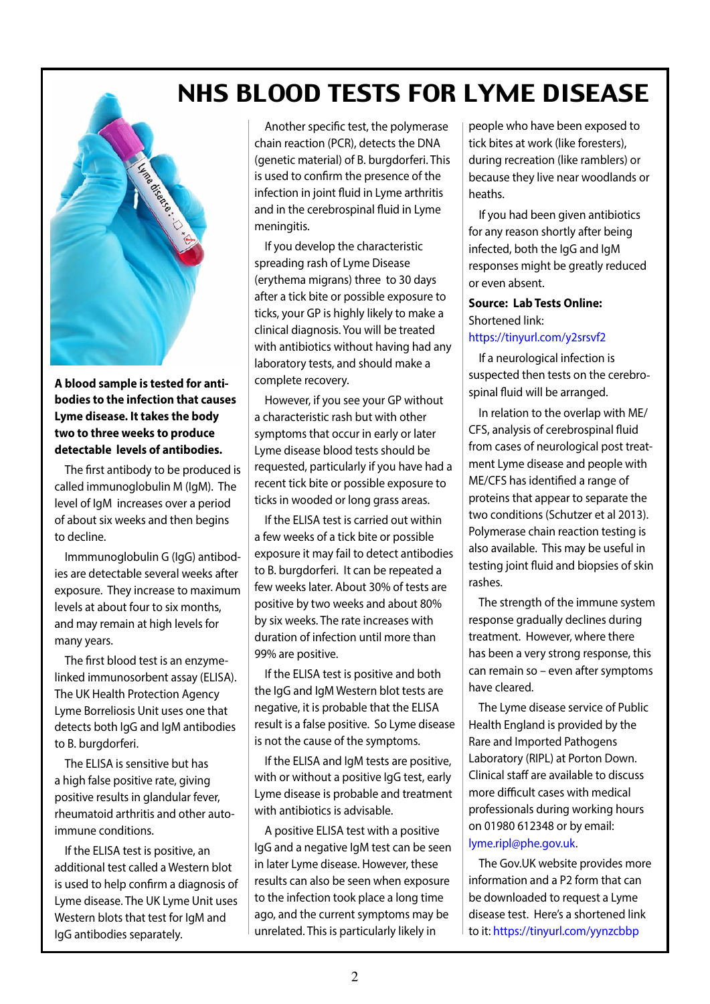## NHS BLOOD TESTS FOR LYME DISEASE



**A blood sample is tested for antibodies to the infection that causes Lyme disease. It takes the body two to three weeks to produce detectable levels of antibodies.** 

The first antibody to be produced is called immunoglobulin M (IgM). The level of IgM increases over a period of about six weeks and then begins to decline.

Immmunoglobulin G (IgG) antibodies are detectable several weeks after exposure. They increase to maximum levels at about four to six months, and may remain at high levels for many years.

The first blood test is an enzymelinked immunosorbent assay (ELISA). The UK Health Protection Agency Lyme Borreliosis Unit uses one that detects both IgG and IgM antibodies to B. burgdorferi.

The ELISA is sensitive but has a high false positive rate, giving positive results in glandular fever, rheumatoid arthritis and other autoimmune conditions.

If the ELISA test is positive, an additional test called a Western blot is used to help confirm a diagnosis of Lyme disease. The UK Lyme Unit uses Western blots that test for IgM and IgG antibodies separately.

Another specific test, the polymerase chain reaction (PCR), detects the DNA (genetic material) of B. burgdorferi. This is used to confirm the presence of the infection in joint fluid in Lyme arthritis and in the cerebrospinal fluid in Lyme meningitis.

If you develop the characteristic spreading rash of Lyme Disease (erythema migrans) three to 30 days after a tick bite or possible exposure to ticks, your GP is highly likely to make a clinical diagnosis. You will be treated with antibiotics without having had any laboratory tests, and should make a complete recovery.

However, if you see your GP without a characteristic rash but with other symptoms that occur in early or later Lyme disease blood tests should be requested, particularly if you have had a recent tick bite or possible exposure to ticks in wooded or long grass areas.

If the ELISA test is carried out within a few weeks of a tick bite or possible exposure it may fail to detect antibodies to B. burgdorferi. It can be repeated a few weeks later. About 30% of tests are positive by two weeks and about 80% by six weeks. The rate increases with duration of infection until more than 99% are positive.

If the ELISA test is positive and both the IgG and IgM Western blot tests are negative, it is probable that the ELISA result is a false positive. So Lyme disease is not the cause of the symptoms.

If the ELISA and IgM tests are positive, with or without a positive IgG test, early Lyme disease is probable and treatment with antibiotics is advisable.

A positive ELISA test with a positive IgG and a negative IgM test can be seen in later Lyme disease. However, these results can also be seen when exposure to the infection took place a long time ago, and the current symptoms may be unrelated. This is particularly likely in

people who have been exposed to tick bites at work (like foresters), during recreation (like ramblers) or because they live near woodlands or heaths.

If you had been given antibiotics for any reason shortly after being infected, both the IgG and IgM responses might be greatly reduced or even absent.

#### **Source: Lab Tests Online:**  Shortened link:

#### https://tinyurl.com/y2srsvf2

If a neurological infection is suspected then tests on the cerebrospinal fluid will be arranged.

In relation to the overlap with ME/ CFS, analysis of cerebrospinal fluid from cases of neurological post treatment Lyme disease and people with ME/CFS has identified a range of proteins that appear to separate the two conditions (Schutzer et al 2013). Polymerase chain reaction testing is also available. This may be useful in testing joint fluid and biopsies of skin rashes.

The strength of the immune system response gradually declines during treatment. However, where there has been a very strong response, this can remain so – even after symptoms have cleared.

The Lyme disease service of Public Health England is provided by the Rare and Imported Pathogens Laboratory (RIPL) at Porton Down. Clinical staff are available to discuss more difficult cases with medical professionals during working hours on 01980 612348 or by email: lyme.ripl@phe.gov.uk.

The Gov.UK website provides more information and a P2 form that can be downloaded to request a Lyme disease test. Here's a shortened link to it: https://tinyurl.com/yynzcbbp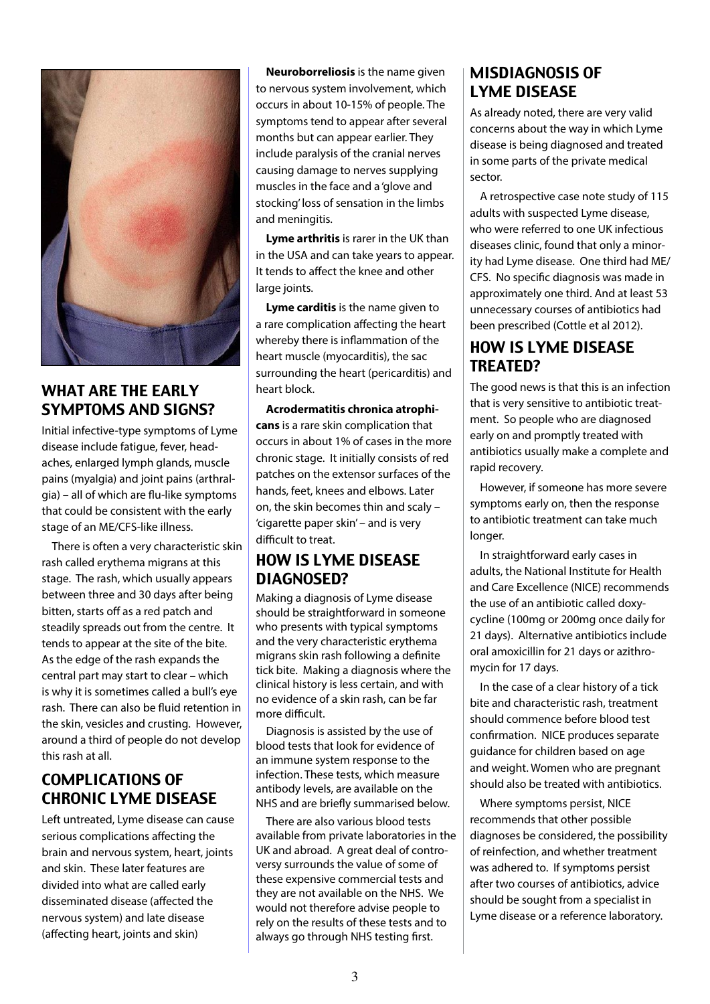

#### WHAT ARE THE EARLY SYMPTOMS AND SIGNS?

Initial infective-type symptoms of Lyme disease include fatigue, fever, headaches, enlarged lymph glands, muscle pains (myalgia) and joint pains (arthralgia) – all of which are flu-like symptoms that could be consistent with the early stage of an ME/CFS-like illness.

There is often a very characteristic skin rash called erythema migrans at this stage. The rash, which usually appears between three and 30 days after being bitten, starts off as a red patch and steadily spreads out from the centre. It tends to appear at the site of the bite. As the edge of the rash expands the central part may start to clear – which is why it is sometimes called a bull's eye rash. There can also be fluid retention in the skin, vesicles and crusting. However, around a third of people do not develop this rash at all.

#### COMPLICATIONS OF CHRONIC LYME DISEASE

Left untreated, Lyme disease can cause serious complications affecting the brain and nervous system, heart, joints and skin. These later features are divided into what are called early disseminated disease (affected the nervous system) and late disease (affecting heart, joints and skin)

**Neuroborreliosis** is the name given to nervous system involvement, which occurs in about 10-15% of people. The symptoms tend to appear after several months but can appear earlier. They include paralysis of the cranial nerves causing damage to nerves supplying muscles in the face and a 'glove and stocking' loss of sensation in the limbs and meningitis.

**Lyme arthritis** is rarer in the UK than in the USA and can take years to appear. It tends to affect the knee and other large joints.

**Lyme carditis** is the name given to a rare complication affecting the heart whereby there is inflammation of the heart muscle (myocarditis), the sac surrounding the heart (pericarditis) and heart block.

**Acrodermatitis chronica atrophicans** is a rare skin complication that occurs in about 1% of cases in the more chronic stage. It initially consists of red patches on the extensor surfaces of the hands, feet, knees and elbows. Later on, the skin becomes thin and scaly – 'cigarette paper skin' – and is very difficult to treat.

#### HOW IS LYME DISEASE DIAGNOSED?

Making a diagnosis of Lyme disease should be straightforward in someone who presents with typical symptoms and the very characteristic erythema migrans skin rash following a definite tick bite. Making a diagnosis where the clinical history is less certain, and with no evidence of a skin rash, can be far more difficult.

Diagnosis is assisted by the use of blood tests that look for evidence of an immune system response to the infection. These tests, which measure antibody levels, are available on the NHS and are briefly summarised below.

There are also various blood tests available from private laboratories in the UK and abroad. A great deal of controversy surrounds the value of some of these expensive commercial tests and they are not available on the NHS. We would not therefore advise people to rely on the results of these tests and to always go through NHS testing first.

#### MISDIAGNOSIS OF LYME DISEASE

As already noted, there are very valid concerns about the way in which Lyme disease is being diagnosed and treated in some parts of the private medical sector.

A retrospective case note study of 115 adults with suspected Lyme disease, who were referred to one UK infectious diseases clinic, found that only a minority had Lyme disease. One third had ME/ CFS. No specific diagnosis was made in approximately one third. And at least 53 unnecessary courses of antibiotics had been prescribed (Cottle et al 2012).

#### HOW IS LYME DISEASE TREATED?

The good news is that this is an infection that is very sensitive to antibiotic treatment. So people who are diagnosed early on and promptly treated with antibiotics usually make a complete and rapid recovery.

However, if someone has more severe symptoms early on, then the response to antibiotic treatment can take much longer.

In straightforward early cases in adults, the National Institute for Health and Care Excellence (NICE) recommends the use of an antibiotic called doxycycline (100mg or 200mg once daily for 21 days). Alternative antibiotics include oral amoxicillin for 21 days or azithromycin for 17 days.

In the case of a clear history of a tick bite and characteristic rash, treatment should commence before blood test confirmation. NICE produces separate guidance for children based on age and weight. Women who are pregnant should also be treated with antibiotics.

Where symptoms persist, NICE recommends that other possible diagnoses be considered, the possibility of reinfection, and whether treatment was adhered to. If symptoms persist after two courses of antibiotics, advice should be sought from a specialist in Lyme disease or a reference laboratory.